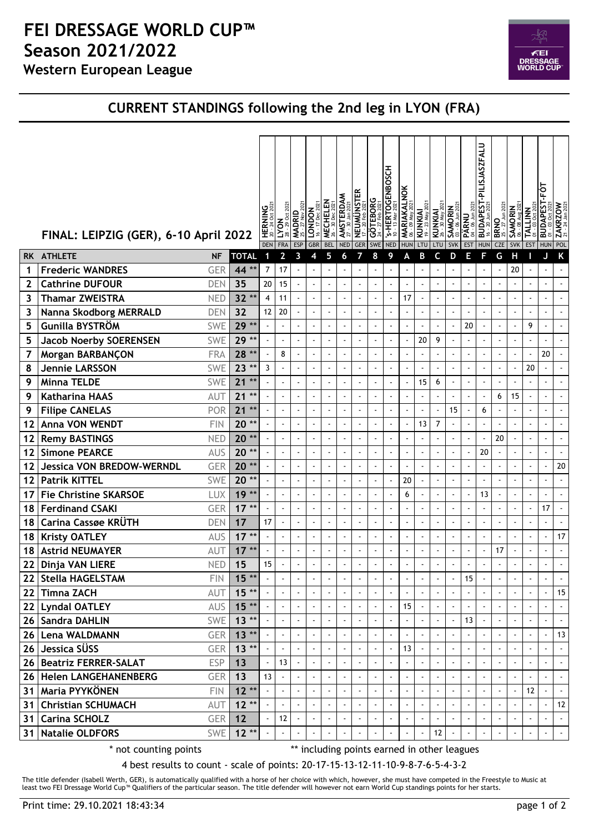## **Western European League FEI DRESSAGE WORLD CUP™ Season 2021/2022**



## **CURRENT STANDINGS following the 2nd leg in LYON (FRA)**

|           | FINAL: LEIPZIG (GER), 6-10 April 2022 |            |                    | <b>HERNING</b><br><b>DEN</b> | 202<br>$\overline{\mathsf{L}^\mathsf{co}}$<br><b>FRA</b> | 202<br><b>MADRID</b><br>ESP | 2021<br><b>LONDON</b><br>17 Dec<br><b>GBR</b> | <b>MECHELEN</b><br>30 Dec<br><b>BEL</b> | <b>AMSTERDAM</b><br><b>NED</b> | <b>NEUMUNSTER</b><br><b>GER</b> | $\frac{1}{\sqrt{2}}$<br><b>SWE</b> | <b>S-HERTOGENBOSCH</b><br>$\subseteq$<br><b>NED</b> | <b>MARIAKALNOK</b><br>06 - 09 May 2021<br><b>HUN</b> | $202^{\circ}$<br>KUNKIAI<br>19 - 23 May 2<br>LTU | <b>KUNKIAI</b><br>26 - 30 May 2021<br>LTU | Jun 202<br><b>SAMORIN</b><br>03 - 06 Jun 202<br>SVK | 06 Jun 202<br><b>PÄRNU</b><br>$\dot{a}$<br><b>EST</b> | <b>PILISJASZFALU</b><br><b>BUDAPEST</b><br>20<br><b>HUN</b> | <b>BRNO</b><br>25 - 27 Jun 2021<br><b>CZE</b> | <b>SAMORIN</b><br><b>SVK</b> | TALLINN<br><b>EST</b>    | <b>FOT</b><br><b>BUDAPEST</b><br><b>HUN</b> | $ZAKRZOW$<br>$21 - 24$ Jan 2021<br>POL |
|-----------|---------------------------------------|------------|--------------------|------------------------------|----------------------------------------------------------|-----------------------------|-----------------------------------------------|-----------------------------------------|--------------------------------|---------------------------------|------------------------------------|-----------------------------------------------------|------------------------------------------------------|--------------------------------------------------|-------------------------------------------|-----------------------------------------------------|-------------------------------------------------------|-------------------------------------------------------------|-----------------------------------------------|------------------------------|--------------------------|---------------------------------------------|----------------------------------------|
| <b>RK</b> | <b>ATHLETE</b>                        | <b>NF</b>  | <b>TOTAL</b>       | 1                            | $\mathbf{2}$                                             | 3                           | 4                                             | 5                                       | 6                              | 7                               | 8                                  | 9                                                   | A                                                    | B                                                | C                                         | D                                                   | Е                                                     | F                                                           | G                                             | Н                            |                          | J                                           | K                                      |
| 1         | <b>Frederic WANDRES</b>               | <b>GER</b> | 44 **              | 7                            | 17                                                       |                             |                                               |                                         |                                |                                 |                                    | ÷,                                                  |                                                      |                                                  |                                           |                                                     |                                                       |                                                             |                                               | 20                           |                          | ÷,                                          |                                        |
| 2         | <b>Cathrine DUFOUR</b>                | <b>DEN</b> | 35                 | 20                           | 15                                                       | ÷,                          | $\ddot{\phantom{a}}$                          |                                         |                                | ÷,                              | $\blacksquare$                     | $\ddot{\phantom{a}}$                                |                                                      |                                                  | ä,                                        | ÷,                                                  | ÷,                                                    |                                                             |                                               | $\overline{a}$               | $\ddot{\phantom{a}}$     | $\blacksquare$                              | ÷,                                     |
| 3         | <b>Thamar ZWEISTRA</b>                | <b>NED</b> | $32**$             | 4                            | 11                                                       |                             |                                               |                                         | $\sim$                         | $\sim$                          | $\blacksquare$                     | $\tilde{\phantom{a}}$                               | 17                                                   |                                                  | $\blacksquare$                            | $\ddot{\phantom{a}}$                                |                                                       |                                                             | $\sim$                                        | $\blacksquare$               | $\omega$                 | $\sim$                                      |                                        |
| 3         | Nanna Skodborg MERRALD                | <b>DEN</b> | 32                 | 12                           | 20                                                       | ÷,                          | $\ddot{\phantom{1}}$                          |                                         | $\blacksquare$                 | $\sim$                          | ÷,                                 | $\ddot{\phantom{a}}$                                | $\blacksquare$                                       | ÷,                                               | $\blacksquare$                            | ÷,                                                  | $\ddot{\phantom{0}}$                                  |                                                             | $\blacksquare$                                | $\blacksquare$               | ÷,                       | $\blacksquare$                              |                                        |
| 5         | Gunilla BYSTRÖM                       | <b>SWE</b> | $29**$             |                              |                                                          |                             |                                               |                                         |                                | $\blacksquare$                  | $\blacksquare$                     | $\blacksquare$                                      | $\blacksquare$                                       |                                                  |                                           |                                                     | 20                                                    |                                                             | $\blacksquare$                                | $\blacksquare$               | 9                        | $\blacksquare$                              |                                        |
| 5         | <b>Jacob Noerby SOERENSEN</b>         | <b>SWE</b> | 29 **              |                              | $\sim$                                                   | $\ddot{\phantom{a}}$        |                                               |                                         | $\blacksquare$                 | $\sim$                          | ÷,                                 | ÷,                                                  |                                                      | 20                                               | 9                                         | ÷,                                                  | ÷,                                                    |                                                             | ÷,                                            | ÷,                           | ÷,                       | ÷,                                          |                                        |
| 7         | Morgan BARBANÇON                      | <b>FRA</b> | 28 **              |                              | 8                                                        | $\ddot{\phantom{a}}$        | $\tilde{\phantom{a}}$                         |                                         | $\blacksquare$                 | ÷,                              | $\blacksquare$                     | $\tilde{\phantom{a}}$                               |                                                      | ÷,                                               | $\blacksquare$                            | $\blacksquare$                                      | $\ddot{\phantom{0}}$                                  |                                                             | ÷,                                            | $\blacksquare$               | $\blacksquare$           | 20                                          |                                        |
| 8         | <b>Jennie LARSSON</b>                 | <b>SWE</b> | $23**$             | 3                            |                                                          | $\ddot{\phantom{a}}$        | $\ddot{\phantom{0}}$                          |                                         | $\blacksquare$                 | $\blacksquare$                  | $\blacksquare$                     | $\blacksquare$                                      | $\blacksquare$                                       | ÷,                                               | ÷,                                        | $\blacksquare$                                      |                                                       |                                                             | $\sim$                                        | $\blacksquare$               | 20                       | $\ddot{\phantom{1}}$                        |                                        |
| 9         | <b>Minna TELDE</b>                    | <b>SWE</b> | $\star\star$<br>21 |                              |                                                          | ÷,                          |                                               |                                         | $\blacksquare$                 | ÷,                              | ÷,                                 | $\ddot{\phantom{a}}$                                |                                                      | 15                                               | 6                                         | $\ddot{\phantom{a}}$                                | ÷,                                                    |                                                             | ÷,                                            | $\ddot{\phantom{0}}$         | $\tilde{\phantom{a}}$    | ÷,                                          |                                        |
| 9         | <b>Katharina HAAS</b>                 | AUT        | $21**$             |                              |                                                          | $\ddot{\phantom{a}}$        | $\overline{\phantom{a}}$                      |                                         |                                |                                 | $\blacksquare$                     | $\blacksquare$                                      |                                                      |                                                  | $\blacksquare$                            | $\ddot{\phantom{a}}$                                | $\ddot{\phantom{a}}$                                  |                                                             | 6                                             | 15                           | $\blacksquare$           | $\blacksquare$                              |                                        |
| 9         | <b>Filipe CANELAS</b>                 | POR        | 21<br>$\star\star$ |                              |                                                          | $\ddot{\phantom{a}}$        | $\ddot{\phantom{a}}$                          |                                         | $\blacksquare$                 | ä,                              | $\overline{\phantom{a}}$           | ÷,                                                  |                                                      |                                                  |                                           | 15                                                  | $\ddot{\phantom{0}}$                                  | 6                                                           |                                               | $\overline{\phantom{a}}$     | $\tilde{\phantom{a}}$    | ÷,                                          |                                        |
| 12        | Anna VON WENDT                        | <b>FIN</b> | $20**$             |                              |                                                          | $\ddot{\phantom{0}}$        |                                               |                                         | $\overline{\phantom{a}}$       |                                 | $\overline{\phantom{a}}$           | $\overline{\phantom{a}}$                            |                                                      | 13                                               | 7                                         | $\overline{\phantom{a}}$                            |                                                       |                                                             |                                               |                              |                          | $\overline{a}$                              |                                        |
| 12        | <b>Remy BASTINGS</b>                  | <b>NED</b> | $20**$             |                              |                                                          |                             | ÷,                                            |                                         | $\blacksquare$                 | Ĭ.                              | ÷,                                 | $\ddot{\phantom{a}}$                                |                                                      |                                                  | ÷,                                        | ÷,                                                  | ÷,                                                    |                                                             | 20                                            | ä,                           | ÷,                       | $\ddot{\phantom{a}}$                        |                                        |
| 12        | <b>Simone PEARCE</b>                  | <b>AUS</b> | $20**$             |                              |                                                          | $\ddot{\phantom{a}}$        |                                               | $\sim$                                  | $\sim$                         | $\blacksquare$                  | $\blacksquare$                     | $\sim$                                              |                                                      | $\blacksquare$                                   | $\blacksquare$                            | $\ddot{\phantom{a}}$                                | $\overline{\phantom{a}}$                              | 20                                                          | $\sim$                                        | $\blacksquare$               | $\blacksquare$           | $\sim$                                      |                                        |
| 12        | <b>Jessica VON BREDOW-WERNDL</b>      | GER        | $20**$             |                              |                                                          |                             | $\overline{\phantom{a}}$                      |                                         | $\blacksquare$                 | $\blacksquare$                  | $\ddot{\phantom{a}}$               | $\overline{\phantom{a}}$                            |                                                      |                                                  | ÷,                                        | $\ddot{\phantom{a}}$                                | $\ddot{\phantom{0}}$                                  |                                                             | $\blacksquare$                                | $\blacksquare$               | $\overline{\phantom{a}}$ | $\ddot{\phantom{a}}$                        | 20                                     |
| 12        | <b>Patrik KITTEL</b>                  | <b>SWE</b> | $20**$             |                              |                                                          | $\ddot{\phantom{a}}$        | $\ddot{\phantom{1}}$                          |                                         | $\blacksquare$                 | $\tilde{\phantom{a}}$           | $\blacksquare$                     | $\overline{\phantom{a}}$                            | 20                                                   |                                                  | $\blacksquare$                            | ÷,                                                  | $\blacksquare$                                        |                                                             | $\tilde{\phantom{a}}$                         | ä,                           | ÷,                       | $\ddot{\phantom{a}}$                        |                                        |
| 17        | <b>Fie Christine SKARSOE</b>          | <b>LUX</b> | $19**$             |                              |                                                          |                             |                                               |                                         |                                | ÷,                              | $\blacksquare$                     | ÷                                                   | 6                                                    |                                                  | $\ddot{\phantom{0}}$                      | $\ddot{\phantom{a}}$                                |                                                       | 13                                                          |                                               | Ĭ.                           | ÷,                       | ÷                                           |                                        |
| 18        | <b>Ferdinand CSAKI</b>                | <b>GER</b> | $17**$             |                              |                                                          | $\ddot{\phantom{a}}$        | $\ddot{\phantom{a}}$                          |                                         | $\blacksquare$                 | ä,                              | $\overline{\phantom{a}}$           | $\overline{\phantom{a}}$                            |                                                      | ä,                                               | $\blacksquare$                            | $\ddot{\phantom{a}}$                                | L,                                                    | $\bullet$                                                   | ä,                                            | $\overline{\phantom{a}}$     | ÷,                       | 17                                          |                                        |
| 18        | Carina Cassøe KRUTH                   | <b>DEN</b> | 17                 | 17                           | $\blacksquare$                                           |                             | $\ddot{\phantom{0}}$                          |                                         | $\blacksquare$                 | $\blacksquare$                  | $\blacksquare$                     | $\blacksquare$                                      | $\blacksquare$                                       | $\ddot{\phantom{1}}$                             | $\blacksquare$                            | $\ddot{\phantom{0}}$                                | $\ddot{\phantom{0}}$                                  |                                                             | $\overline{\phantom{a}}$                      | $\blacksquare$               | $\blacksquare$           | $\ddot{\phantom{a}}$                        |                                        |
| 18        | <b>Kristy OATLEY</b>                  | <b>AUS</b> | $17**$             |                              |                                                          |                             |                                               |                                         | $\blacksquare$                 | $\sim$                          | $\overline{\phantom{a}}$           | $\ddot{\phantom{a}}$                                |                                                      |                                                  | $\blacksquare$                            | $\ddot{\phantom{a}}$                                | ÷,                                                    |                                                             | ÷                                             | ä,                           | $\tilde{\phantom{a}}$    | $\ddot{\phantom{a}}$                        | 17                                     |
| 18        | <b>Astrid NEUMAYER</b>                | AUT        | $17**$             |                              |                                                          |                             |                                               |                                         |                                |                                 | $\blacksquare$                     | ÷                                                   |                                                      |                                                  | ÷.                                        | $\overline{a}$                                      |                                                       |                                                             | 17                                            | $\blacksquare$               | $\tilde{\phantom{a}}$    | $\overline{\phantom{a}}$                    | $\mathbf{r}$                           |
| 22        | Dinja VAN LIERE                       | <b>NED</b> | 15                 | 15                           |                                                          |                             |                                               |                                         | $\ddot{\phantom{a}}$           | ÷,                              | $\blacksquare$                     | ÷,                                                  |                                                      |                                                  |                                           | $\blacksquare$                                      |                                                       |                                                             | ÷,                                            | $\overline{\phantom{a}}$     | $\blacksquare$           | $\ddot{\phantom{0}}$                        | $\blacksquare$                         |
| 22        | <b>Stella HAGELSTAM</b>               | <b>FIN</b> | $15**$             |                              |                                                          | $\blacksquare$              | $\tilde{\phantom{a}}$                         |                                         | $\tilde{\phantom{a}}$          | $\blacksquare$                  | ÷,                                 | $\ddot{\phantom{a}}$                                |                                                      |                                                  | ä,                                        | ÷,                                                  | 15                                                    |                                                             |                                               | $\overline{\phantom{a}}$     | ÷,                       | ÷,                                          |                                        |
| 22        | <b>Timna ZACH</b>                     | AUT        | $15**$             |                              |                                                          |                             |                                               |                                         |                                |                                 | ÷,                                 | ÷,                                                  |                                                      |                                                  |                                           |                                                     |                                                       |                                                             |                                               |                              | $\ddot{\phantom{a}}$     | $\ddot{\phantom{a}}$                        | 15                                     |
| 22        | <b>Lyndal OATLEY</b>                  | AUS        | $15**$             |                              |                                                          | $\sim$                      | $\blacksquare$                                |                                         |                                | $\blacksquare$                  | $\blacksquare$                     | $\sim$                                              | 15                                                   |                                                  | $\blacksquare$                            | $\ddot{\phantom{a}}$                                |                                                       |                                                             |                                               | $\blacksquare$               | $\tilde{\phantom{a}}$    | ÷,                                          |                                        |
| 26        | <b>Sandra DAHLIN</b>                  | SWE        | $13**$             |                              | $\tilde{\phantom{a}}$                                    | $\blacksquare$              | $\blacksquare$                                |                                         | $\overline{a}$                 | $\blacksquare$                  | $\blacksquare$                     | $\ddot{\phantom{a}}$                                | $\blacksquare$                                       | ÷,                                               | $\blacksquare$                            | $\ddot{\phantom{a}}$                                | 13                                                    |                                                             |                                               | $\blacksquare$               | $\tilde{\phantom{a}}$    | $\blacksquare$                              |                                        |
| 26        | Lena WALDMANN                         | GER        | $13**$             |                              |                                                          |                             |                                               |                                         |                                |                                 | $\blacksquare$                     | $\blacksquare$                                      |                                                      |                                                  | $\blacksquare$                            |                                                     |                                                       |                                                             |                                               |                              | $\ddot{\phantom{a}}$     | ÷                                           | 13                                     |
| 26        | Jessica SÜSS                          | <b>GER</b> | $13**$             |                              |                                                          | $\blacksquare$              | $\ddot{\phantom{1}}$                          |                                         |                                |                                 | $\blacksquare$                     | $\overline{\phantom{a}}$                            | 13                                                   |                                                  | ä,                                        | ÷,                                                  |                                                       |                                                             |                                               |                              | ÷,                       | $\ddot{\phantom{a}}$                        |                                        |
| 26        | <b>Beatriz FERRER-SALAT</b>           | <b>ESP</b> | 13                 |                              | 13                                                       | $\blacksquare$              |                                               |                                         |                                |                                 | $\blacksquare$                     | $\blacksquare$                                      |                                                      | $\blacksquare$                                   | $\blacksquare$                            | $\overline{\phantom{a}}$                            |                                                       |                                                             |                                               |                              | $\tilde{\phantom{a}}$    | $\blacksquare$                              |                                        |
| 26        | <b>Helen LANGEHANENBERG</b>           | <b>GER</b> | 13                 | 13                           | $\Box$                                                   | $\overline{\phantom{a}}$    |                                               |                                         | $\blacksquare$                 | $\blacksquare$                  | ä,                                 | $\ddot{\phantom{1}}$                                | $\tilde{\phantom{a}}$                                | $\blacksquare$                                   | $\blacksquare$                            | $\blacksquare$                                      | $\blacksquare$                                        |                                                             | $\sim$                                        | $\blacksquare$               | ä,                       | $\ddot{\phantom{a}}$                        |                                        |
| 31        | Maria PYYKÖNEN                        | <b>FIN</b> | $12**$             |                              |                                                          | $\blacksquare$              |                                               |                                         |                                | ÷                               | ÷,                                 | $\blacksquare$                                      |                                                      |                                                  | $\ddot{\phantom{1}}$                      | $\blacksquare$                                      |                                                       |                                                             |                                               | $\blacksquare$               | 12                       | $\blacksquare$                              |                                        |
| 31        | <b>Christian SCHUMACH</b>             | AUT        | $12**$             |                              |                                                          | $\blacksquare$              |                                               |                                         |                                | ÷,                              | ÷,                                 | $\ddot{\phantom{a}}$                                |                                                      | ÷,                                               | $\ddot{\phantom{0}}$                      | $\ddot{\phantom{a}}$                                |                                                       |                                                             |                                               |                              | $\overline{\phantom{a}}$ | ÷                                           | 12                                     |
| 31        | <b>Carina SCHOLZ</b>                  | <b>GER</b> | 12                 |                              | 12                                                       |                             |                                               |                                         | $\overline{\phantom{a}}$       | $\sim$                          | $\blacksquare$                     | $\sim$                                              |                                                      |                                                  | $\blacksquare$                            | $\sim$                                              |                                                       |                                                             | $\sim$                                        | $\blacksquare$               | $\omega$                 | $\sim$                                      |                                        |
| 31        | <b>Natalie OLDFORS</b>                | <b>SWE</b> | $12 *$             |                              |                                                          |                             |                                               |                                         |                                |                                 | $\blacksquare$                     | $\ddot{\phantom{a}}$                                |                                                      |                                                  | 12                                        |                                                     |                                                       |                                                             |                                               | $\blacksquare$               | $\ddot{\phantom{1}}$     | $\blacksquare$                              | $\bullet$                              |

\* not counting points \*\*\* including points earned in other leagues

4 best results to count - scale of points: 20-17-15-13-12-11-10-9-8-7-6-5-4-3-2

The title defender (Isabell Werth, GER), is automatically qualified with a horse of her choice with which, however, she must have competed in the Freestyle to Music at least two FEI Dressage World Cup™ Qualifiers of the particular season. The title defender will however not earn World Cup standings points for her starts.